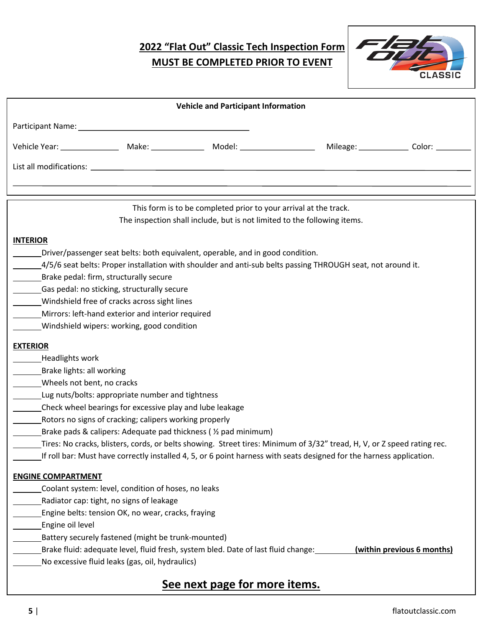## **2022 "Flat Out" Classic Tech Inspection Form MUST BE COMPLETED PRIOR TO EVENT**



| <b>Vehicle and Participant Information</b>                                                                              |                                                     |                                                                                                                                              |  |  |  |  |
|-------------------------------------------------------------------------------------------------------------------------|-----------------------------------------------------|----------------------------------------------------------------------------------------------------------------------------------------------|--|--|--|--|
|                                                                                                                         |                                                     |                                                                                                                                              |  |  |  |  |
|                                                                                                                         |                                                     |                                                                                                                                              |  |  |  |  |
|                                                                                                                         |                                                     |                                                                                                                                              |  |  |  |  |
|                                                                                                                         |                                                     |                                                                                                                                              |  |  |  |  |
|                                                                                                                         |                                                     | This form is to be completed prior to your arrival at the track.<br>The inspection shall include, but is not limited to the following items. |  |  |  |  |
| <b>INTERIOR</b>                                                                                                         |                                                     |                                                                                                                                              |  |  |  |  |
|                                                                                                                         |                                                     | Driver/passenger seat belts: both equivalent, operable, and in good condition.                                                               |  |  |  |  |
| 4/5/6 seat belts: Proper installation with shoulder and anti-sub belts passing THROUGH seat, not around it.             |                                                     |                                                                                                                                              |  |  |  |  |
| Brake pedal: firm, structurally secure                                                                                  |                                                     |                                                                                                                                              |  |  |  |  |
| Gas pedal: no sticking, structurally secure                                                                             |                                                     |                                                                                                                                              |  |  |  |  |
| Windshield free of cracks across sight lines                                                                            |                                                     |                                                                                                                                              |  |  |  |  |
| Mirrors: left-hand exterior and interior required                                                                       |                                                     |                                                                                                                                              |  |  |  |  |
|                                                                                                                         | Windshield wipers: working, good condition          |                                                                                                                                              |  |  |  |  |
| <b>EXTERIOR</b>                                                                                                         |                                                     |                                                                                                                                              |  |  |  |  |
| Headlights work                                                                                                         |                                                     |                                                                                                                                              |  |  |  |  |
| Brake lights: all working                                                                                               |                                                     |                                                                                                                                              |  |  |  |  |
| Wheels not bent, no cracks                                                                                              |                                                     |                                                                                                                                              |  |  |  |  |
| Lug nuts/bolts: appropriate number and tightness                                                                        |                                                     |                                                                                                                                              |  |  |  |  |
| Check wheel bearings for excessive play and lube leakage                                                                |                                                     |                                                                                                                                              |  |  |  |  |
| Rotors no signs of cracking; calipers working properly                                                                  |                                                     |                                                                                                                                              |  |  |  |  |
| Brake pads & calipers: Adequate pad thickness ( 1/2 pad minimum)                                                        |                                                     |                                                                                                                                              |  |  |  |  |
| Tires: No cracks, blisters, cords, or belts showing. Street tires: Minimum of 3/32" tread, H, V, or Z speed rating rec. |                                                     |                                                                                                                                              |  |  |  |  |
|                                                                                                                         |                                                     | If roll bar: Must have correctly installed 4, 5, or 6 point harness with seats designed for the harness application.                         |  |  |  |  |
| <b>ENGINE COMPARTMENT</b>                                                                                               |                                                     |                                                                                                                                              |  |  |  |  |
|                                                                                                                         | Coolant system: level, condition of hoses, no leaks |                                                                                                                                              |  |  |  |  |
|                                                                                                                         | Radiator cap: tight, no signs of leakage            |                                                                                                                                              |  |  |  |  |
|                                                                                                                         | Engine belts: tension OK, no wear, cracks, fraying  |                                                                                                                                              |  |  |  |  |
| Engine oil level                                                                                                        |                                                     |                                                                                                                                              |  |  |  |  |
| Battery securely fastened (might be trunk-mounted)                                                                      |                                                     |                                                                                                                                              |  |  |  |  |
| Brake fluid: adequate level, fluid fresh, system bled. Date of last fluid change:<br>(within previous 6 months)         |                                                     |                                                                                                                                              |  |  |  |  |
|                                                                                                                         | No excessive fluid leaks (gas, oil, hydraulics)     |                                                                                                                                              |  |  |  |  |
|                                                                                                                         |                                                     | Can nowt nogo for more itome                                                                                                                 |  |  |  |  |

## **See next page for more items.**